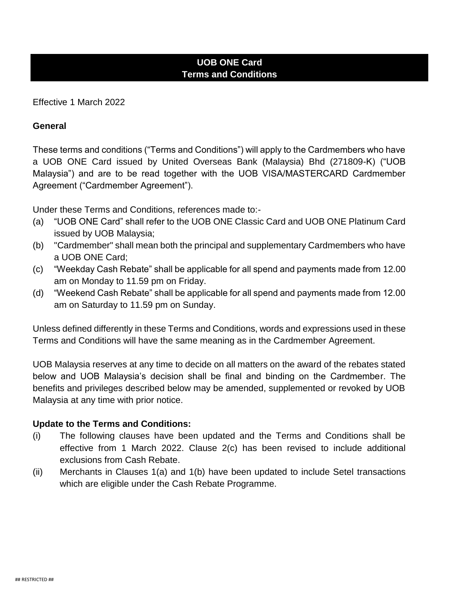# **UOB ONE Card Terms and Conditions**

Effective 1 March 2022

#### **General**

These terms and conditions ("Terms and Conditions") will apply to the Cardmembers who have a UOB ONE Card issued by United Overseas Bank (Malaysia) Bhd (271809-K) ("UOB Malaysia") and are to be read together with the UOB VISA/MASTERCARD Cardmember Agreement ("Cardmember Agreement").

Under these Terms and Conditions, references made to:-

- (a) "UOB ONE Card" shall refer to the UOB ONE Classic Card and UOB ONE Platinum Card issued by UOB Malaysia;
- (b) "Cardmember" shall mean both the principal and supplementary Cardmembers who have a UOB ONE Card;
- (c) "Weekday Cash Rebate" shall be applicable for all spend and payments made from 12.00 am on Monday to 11.59 pm on Friday.
- (d) "Weekend Cash Rebate" shall be applicable for all spend and payments made from 12.00 am on Saturday to 11.59 pm on Sunday.

Unless defined differently in these Terms and Conditions, words and expressions used in these Terms and Conditions will have the same meaning as in the Cardmember Agreement.

UOB Malaysia reserves at any time to decide on all matters on the award of the rebates stated below and UOB Malaysia's decision shall be final and binding on the Cardmember. The benefits and privileges described below may be amended, supplemented or revoked by UOB Malaysia at any time with prior notice.

### **Update to the Terms and Conditions:**

- (i) The following clauses have been updated and the Terms and Conditions shall be effective from 1 March 2022. Clause 2(c) has been revised to include additional exclusions from Cash Rebate.
- (ii) Merchants in Clauses 1(a) and 1(b) have been updated to include Setel transactions which are eligible under the Cash Rebate Programme.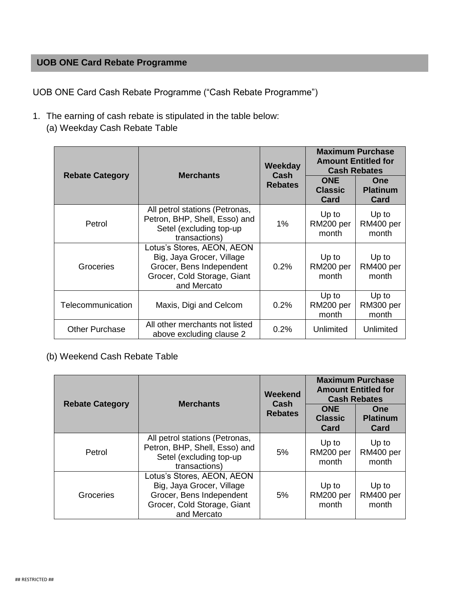# **UOB ONE Card Rebate Programme**

UOB ONE Card Cash Rebate Programme ("Cash Rebate Programme")

- 1. The earning of cash rebate is stipulated in the table below:
	- (a) Weekday Cash Rebate Table

| <b>Rebate Category</b> | <b>Merchants</b>                                                                                                                  | Weekday<br>Cash<br><b>Rebates</b> | <b>Maximum Purchase</b><br><b>Amount Entitled for</b><br><b>Cash Rebates</b> |                                       |
|------------------------|-----------------------------------------------------------------------------------------------------------------------------------|-----------------------------------|------------------------------------------------------------------------------|---------------------------------------|
|                        |                                                                                                                                   |                                   | <b>ONE</b><br><b>Classic</b><br><b>Card</b>                                  | <b>One</b><br><b>Platinum</b><br>Card |
| Petrol                 | All petrol stations (Petronas,<br>Petron, BHP, Shell, Esso) and<br>Setel (excluding top-up<br>transactions)                       | 1%                                | Up to<br>RM200 per<br>month                                                  | Up to<br>RM400 per<br>month           |
| Groceries              | Lotus's Stores, AEON, AEON<br>Big, Jaya Grocer, Village<br>Grocer, Bens Independent<br>Grocer, Cold Storage, Giant<br>and Mercato | 0.2%                              | Up to<br>RM200 per<br>month                                                  | Up to<br>RM400 per<br>month           |
| Telecommunication      | Maxis, Digi and Celcom                                                                                                            | 0.2%                              | Up to<br>RM200 per<br>month                                                  | Up to<br>RM300 per<br>month           |
| <b>Other Purchase</b>  | All other merchants not listed<br>above excluding clause 2                                                                        | 0.2%                              | Unlimited                                                                    | Unlimited                             |

## (b) Weekend Cash Rebate Table

| <b>Rebate Category</b> | <b>Merchants</b>                                                                                                                  | Weekend<br>Cash<br><b>Rebates</b> | <b>Maximum Purchase</b><br><b>Amount Entitled for</b><br><b>Cash Rebates</b> |                                       |
|------------------------|-----------------------------------------------------------------------------------------------------------------------------------|-----------------------------------|------------------------------------------------------------------------------|---------------------------------------|
|                        |                                                                                                                                   |                                   | <b>ONE</b><br><b>Classic</b><br>Card                                         | <b>One</b><br><b>Platinum</b><br>Card |
| Petrol                 | All petrol stations (Petronas,<br>Petron, BHP, Shell, Esso) and<br>Setel (excluding top-up<br>transactions)                       | 5%                                | Up to<br>RM200 per<br>month                                                  | Up to<br>RM400 per<br>month           |
| Groceries              | Lotus's Stores, AEON, AEON<br>Big, Jaya Grocer, Village<br>Grocer, Bens Independent<br>Grocer, Cold Storage, Giant<br>and Mercato | 5%                                | Up to<br>RM200 per<br>month                                                  | Up to<br>RM400 per<br>month           |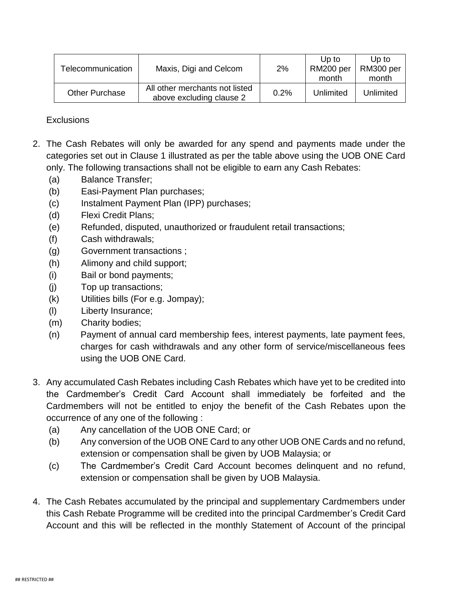| Telecommunication     | Maxis, Digi and Celcom                                     | 2%   | Up to<br>RM200 per<br>month | Up to<br>RM300 per<br>month |
|-----------------------|------------------------------------------------------------|------|-----------------------------|-----------------------------|
| <b>Other Purchase</b> | All other merchants not listed<br>above excluding clause 2 | 0.2% | Unlimited                   | Unlimited                   |

**Exclusions** 

- 2. The Cash Rebates will only be awarded for any spend and payments made under the categories set out in Clause 1 illustrated as per the table above using the UOB ONE Card only. The following transactions shall not be eligible to earn any Cash Rebates:
	- (a) Balance Transfer;
	- (b) Easi-Payment Plan purchases;
	- (c) Instalment Payment Plan (IPP) purchases;
	- (d) Flexi Credit Plans;
	- (e) Refunded, disputed, unauthorized or fraudulent retail transactions;
	- (f) Cash withdrawals;
	- (g) Government transactions ;
	- (h) Alimony and child support;
	- (i) Bail or bond payments;
	- (j) Top up transactions;
	- (k) Utilities bills (For e.g. Jompay);
	- (l) Liberty Insurance;
	- (m) Charity bodies;
	- (n) Payment of annual card membership fees, interest payments, late payment fees, charges for cash withdrawals and any other form of service/miscellaneous fees using the UOB ONE Card.
- 3. Any accumulated Cash Rebates including Cash Rebates which have yet to be credited into the Cardmember's Credit Card Account shall immediately be forfeited and the Cardmembers will not be entitled to enjoy the benefit of the Cash Rebates upon the occurrence of any one of the following :
	- (a) Any cancellation of the UOB ONE Card; or
	- (b) Any conversion of the UOB ONE Card to any other UOB ONE Cards and no refund, extension or compensation shall be given by UOB Malaysia; or
	- (c) The Cardmember's Credit Card Account becomes delinquent and no refund, extension or compensation shall be given by UOB Malaysia.
- 4. The Cash Rebates accumulated by the principal and supplementary Cardmembers under this Cash Rebate Programme will be credited into the principal Cardmember's Credit Card Account and this will be reflected in the monthly Statement of Account of the principal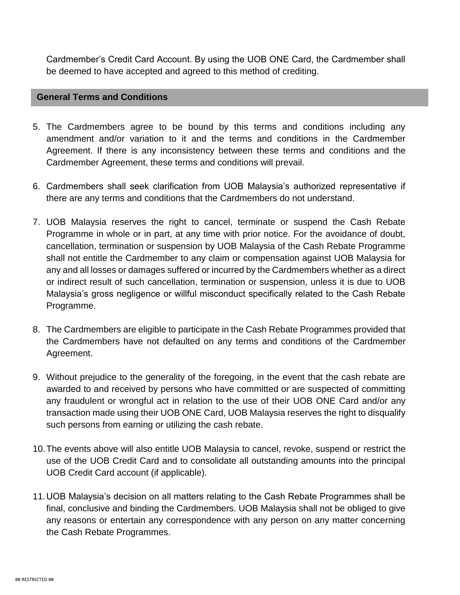Cardmember's Credit Card Account. By using the UOB ONE Card, the Cardmember shall be deemed to have accepted and agreed to this method of crediting.

### **General Terms and Conditions**

- 5. The Cardmembers agree to be bound by this terms and conditions including any amendment and/or variation to it and the terms and conditions in the Cardmember Agreement. If there is any inconsistency between these terms and conditions and the Cardmember Agreement, these terms and conditions will prevail.
- 6. Cardmembers shall seek clarification from UOB Malaysia's authorized representative if there are any terms and conditions that the Cardmembers do not understand.
- 7. UOB Malaysia reserves the right to cancel, terminate or suspend the Cash Rebate Programme in whole or in part, at any time with prior notice. For the avoidance of doubt, cancellation, termination or suspension by UOB Malaysia of the Cash Rebate Programme shall not entitle the Cardmember to any claim or compensation against UOB Malaysia for any and all losses or damages suffered or incurred by the Cardmembers whether as a direct or indirect result of such cancellation, termination or suspension, unless it is due to UOB Malaysia's gross negligence or willful misconduct specifically related to the Cash Rebate Programme.
- 8. The Cardmembers are eligible to participate in the Cash Rebate Programmes provided that the Cardmembers have not defaulted on any terms and conditions of the Cardmember Agreement.
- 9. Without prejudice to the generality of the foregoing, in the event that the cash rebate are awarded to and received by persons who have committed or are suspected of committing any fraudulent or wrongful act in relation to the use of their UOB ONE Card and/or any transaction made using their UOB ONE Card, UOB Malaysia reserves the right to disqualify such persons from earning or utilizing the cash rebate.
- 10.The events above will also entitle UOB Malaysia to cancel, revoke, suspend or restrict the use of the UOB Credit Card and to consolidate all outstanding amounts into the principal UOB Credit Card account (if applicable).
- 11.UOB Malaysia's decision on all matters relating to the Cash Rebate Programmes shall be final, conclusive and binding the Cardmembers. UOB Malaysia shall not be obliged to give any reasons or entertain any correspondence with any person on any matter concerning the Cash Rebate Programmes.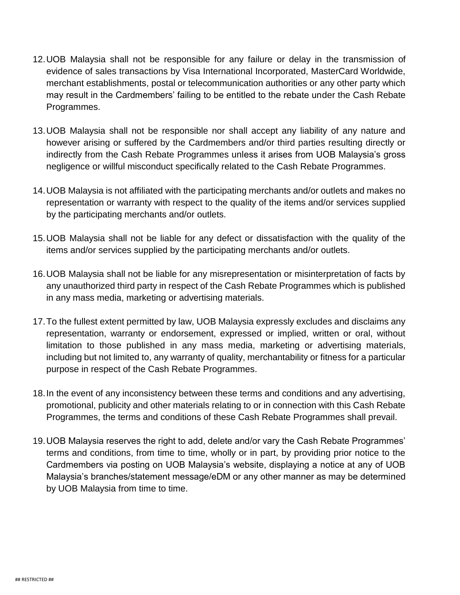- 12.UOB Malaysia shall not be responsible for any failure or delay in the transmission of evidence of sales transactions by Visa International Incorporated, MasterCard Worldwide, merchant establishments, postal or telecommunication authorities or any other party which may result in the Cardmembers' failing to be entitled to the rebate under the Cash Rebate Programmes.
- 13.UOB Malaysia shall not be responsible nor shall accept any liability of any nature and however arising or suffered by the Cardmembers and/or third parties resulting directly or indirectly from the Cash Rebate Programmes unless it arises from UOB Malaysia's gross negligence or willful misconduct specifically related to the Cash Rebate Programmes.
- 14.UOB Malaysia is not affiliated with the participating merchants and/or outlets and makes no representation or warranty with respect to the quality of the items and/or services supplied by the participating merchants and/or outlets.
- 15.UOB Malaysia shall not be liable for any defect or dissatisfaction with the quality of the items and/or services supplied by the participating merchants and/or outlets.
- 16.UOB Malaysia shall not be liable for any misrepresentation or misinterpretation of facts by any unauthorized third party in respect of the Cash Rebate Programmes which is published in any mass media, marketing or advertising materials.
- 17.To the fullest extent permitted by law, UOB Malaysia expressly excludes and disclaims any representation, warranty or endorsement, expressed or implied, written or oral, without limitation to those published in any mass media, marketing or advertising materials, including but not limited to, any warranty of quality, merchantability or fitness for a particular purpose in respect of the Cash Rebate Programmes.
- 18.In the event of any inconsistency between these terms and conditions and any advertising, promotional, publicity and other materials relating to or in connection with this Cash Rebate Programmes, the terms and conditions of these Cash Rebate Programmes shall prevail.
- 19.UOB Malaysia reserves the right to add, delete and/or vary the Cash Rebate Programmes' terms and conditions, from time to time, wholly or in part, by providing prior notice to the Cardmembers via posting on UOB Malaysia's website, displaying a notice at any of UOB Malaysia's branches/statement message/eDM or any other manner as may be determined by UOB Malaysia from time to time.